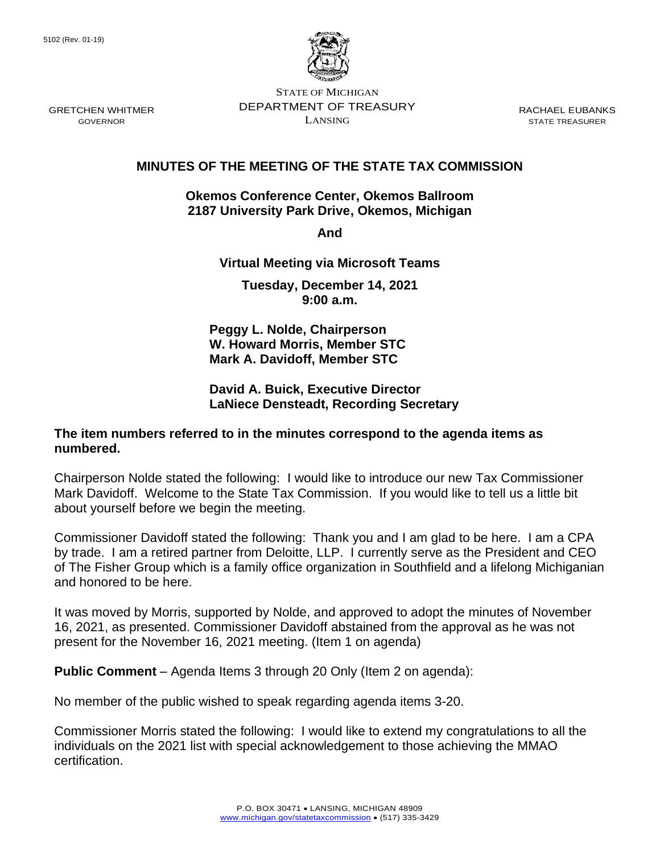

STATE OF MICHIGAN DEPARTMENT OF TREASURY LANSING

RACHAEL EUBANKS STATE TREASURER

# **MINUTES OF THE MEETING OF THE STATE TAX COMMISSION**

#### **Okemos Conference Center, Okemos Ballroom 2187 University Park Drive, Okemos, Michigan**

**And** 

## **Virtual Meeting via Microsoft Teams**

**Tuesday, December 14, 2021 9:00 a.m.**

**Peggy L. Nolde, Chairperson W. Howard Morris, Member STC Mark A. Davidoff, Member STC**

### **David A. Buick, Executive Director LaNiece Densteadt, Recording Secretary**

### **The item numbers referred to in the minutes correspond to the agenda items as numbered.**

Chairperson Nolde stated the following: I would like to introduce our new Tax Commissioner Mark Davidoff. Welcome to the State Tax Commission. If you would like to tell us a little bit about yourself before we begin the meeting.

Commissioner Davidoff stated the following: Thank you and I am glad to be here. I am a CPA by trade. I am a retired partner from Deloitte, LLP. I currently serve as the President and CEO of The Fisher Group which is a family office organization in Southfield and a lifelong Michiganian and honored to be here.

It was moved by Morris, supported by Nolde, and approved to adopt the minutes of November 16, 2021, as presented. Commissioner Davidoff abstained from the approval as he was not present for the November 16, 2021 meeting. (Item 1 on agenda)

**Public Comment** – Agenda Items 3 through 20 Only (Item 2 on agenda):

No member of the public wished to speak regarding agenda items 3-20.

Commissioner Morris stated the following: I would like to extend my congratulations to all the individuals on the 2021 list with special acknowledgement to those achieving the MMAO certification.

GRETCHEN WHITMER GOVERNOR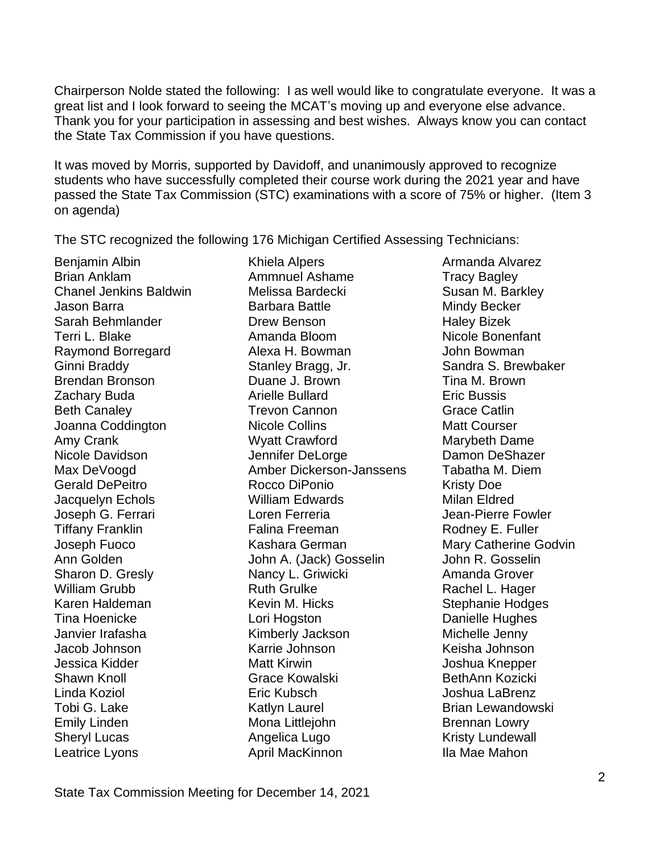Chairperson Nolde stated the following: I as well would like to congratulate everyone. It was a great list and I look forward to seeing the MCAT's moving up and everyone else advance. Thank you for your participation in assessing and best wishes. Always know you can contact the State Tax Commission if you have questions.

It was moved by Morris, supported by Davidoff, and unanimously approved to recognize students who have successfully completed their course work during the 2021 year and have passed the State Tax Commission (STC) examinations with a score of 75% or higher. (Item 3 on agenda)

The STC recognized the following 176 Michigan Certified Assessing Technicians:

Leatrice Lyons **April MacKinnon** Ila Mae Mahon

Benjamin Albin **Khiela Alpers** Armanda Alvarez Brian Anklam **Ammnuel Ashame** Tracy Bagley Chanel Jenkins Baldwin Melissa Bardecki Susan M. Barkley Jason Barra **Barbara Battle** Mindy Becker Sarah Behmlander **Drew Benson** Haley Bizek Terri L. Blake Amanda Bloom Nicole Bonenfant Raymond Borregard **Alexa H. Bowman** John Bowman Ginni Braddy Stanley Bragg, Jr. Sandra S. Brewbaker Brendan Bronson Duane J. Brown Tina M. Brown Zachary Buda **Arielle Bullard** Eric Bussis **Arielle Bullard** Beth Canaley **Trevon Cannon** Grace Catlin Joanna Coddington **Nicole Collins** Matt Courser Amy Crank Music Crawford Marybeth Dame Nicole Davidson **Nicole Davidson** Jennifer DeLorge **Damon DeShazer** Max DeVoogd Amber Dickerson-Janssens Tabatha M. Diem Gerald DePeitro **Rocco DiPonio** Rocco Network Risty Doe Jacquelyn Echols William Edwards Milan Eldred Joseph G. Ferrari Loren Ferreria Jean-Pierre Fowler Tiffany Franklin Falina Freeman Rodney E. Fuller Joseph Fuoco **Kashara German** Mary Catherine Godvin Ann Golden John A. (Jack) Gosselin John R. Gosselin Sharon D. Gresly **Nancy L. Griwicki** Amanda Grover William Grubb **Ruth Grulke** Ruth Grulke Rachel L. Hager Karen Haldeman Kevin M. Hicks Stephanie Hodges Tina Hoenicke Lori Hogston Danielle Hughes Janvier Irafasha Kimberly Jackson Michelle Jenny Jacob Johnson Karrie Johnson Keisha Johnson Jessica Kidder Matt Kirwin Matt Kirwin Joshua Knepper Shawn Knoll Grace Kowalski BethAnn Kozicki Linda Koziol Eric Kubsch Joshua LaBrenz Tobi G. Lake **Katlyn Laurel Communist Communist Communist** Lewandowski Emily Linden **Mona Littlejohn** Brennan Lowry Sheryl Lucas **Angelica Lugo** Kristy Lundewall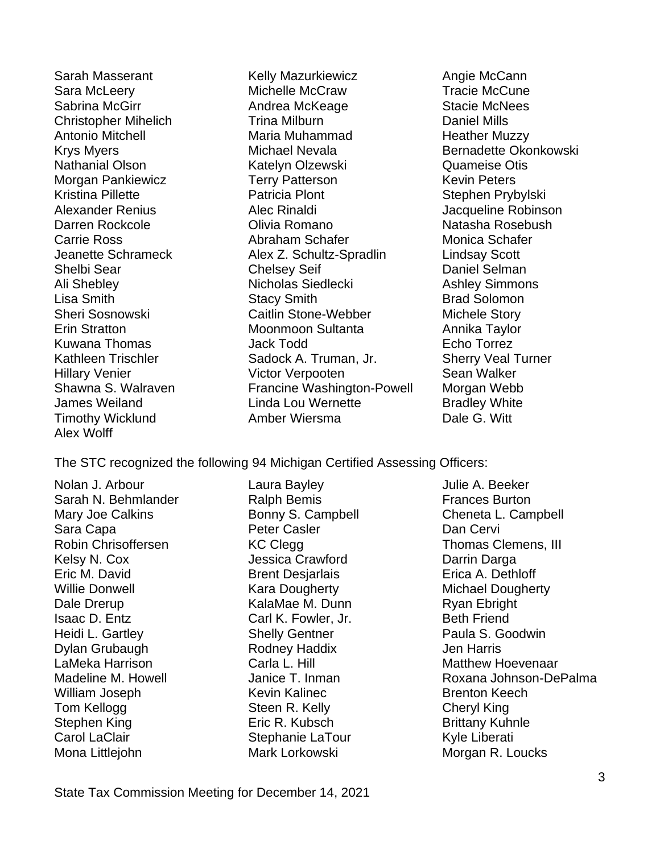Alex Wolff

Sarah Masserant The Mazurkiewicz The Angie McCann Sara McLeery Michelle McCraw Tracie McCune Sabrina McGirr **Andrea McKeage** Stacie McNees Christopher Mihelich Trina Milburn Daniel Mills Antonio Mitchell **Maria Muhammad** Heather Muzzy Krys Myers **Michael Nevala** Bernadette Okonkowski Nathanial Olson Katelyn Olzewski Quameise Otis Morgan Pankiewicz Terry Patterson Kevin Peters Kristina Pillette **Patricia Plont** Patricia Plont Stephen Prybylski Alexander Renius **Alec Rinaldi** Alexander Robinson Darren Rockcole Olivia Romano Natasha Rosebush Carrie Ross **Abraham Schafer** Monica Schafer Jeanette Schrameck Alex Z. Schultz-Spradlin Lindsay Scott Shelbi Sear Chelsey Seif Chelsey Seif Daniel Selman Ali Shebley **Nicholas Siedlecki** Ashley Simmons Lisa Smith Stacy Smith Brad Solomon Sheri Sosnowski Caitlin Stone-Webber Michele Story Erin Stratton Moonmoon Sultanta Annika Taylor Kuwana Thomas Jack Todd Echo Torrez Kathleen Trischler Sadock A. Truman, Jr. Sherry Veal Turner Hillary Venier **Victor Verpooten** Sean Walker Shawna S. Walraven Francine Washington-Powell Morgan Webb James Weiland **Linda Lou Wernette** Bradley White<br>Timothy Wicklund **Rinda Amber Wiersma Communisty** Dale G. Witt Timothy Wicklund Amber Wiersma Dale G. Witt

The STC recognized the following 94 Michigan Certified Assessing Officers:

Nolan J. Arbour **Laura Bayley** Molan J. Arbour **Laura Bayley** Julie A. Beeker Sarah N. Behmlander **Ralph Bemis** Frances Burton Sara Capa **Capa Capaca Capaca Peter Casler** Castro Capaca Dan Cervi Kelsy N. Cox **Marga Crawford** Darrin Darga Crawford Darrin Darga Eric M. David Brent Desjarlais Erica A. Dethloff Willie Donwell **Kara Dougherty** Michael Dougherty Dale Drerup **CalaMae M. Dunn** Ryan Ebright Isaac D. Entz Carl K. Fowler, Jr. Beth Friend Heidi L. Gartley **Shelly Gentner** Paula S. Goodwin Dylan Grubaugh Rodney Haddix Jen Harris LaMeka Harrison **Carla L. Hill Matthew Hoevenaar** Carla L. Hill Matthew Hoevenaar William Joseph Kevin Kalinec Brenton Keech Tom Kellogg **Steen R. Kelly Cheryl King** Stephen King **Eric R. Kubsch** Brittany Kuhnle Carol LaClair **Stephanie LaTour** Stephanie LaTour Kyle Liberati

Mona Littlejohn Mark Lorkowski Morgan R. Loucks

Mary Joe Calkins **Example Conny S. Campbell** Cheneta L. Campbell Robin Chrisoffersen Thomas Clemens, III Madeline M. Howell **Induce T. Janice T. Inman** Roxana Johnson-DePalma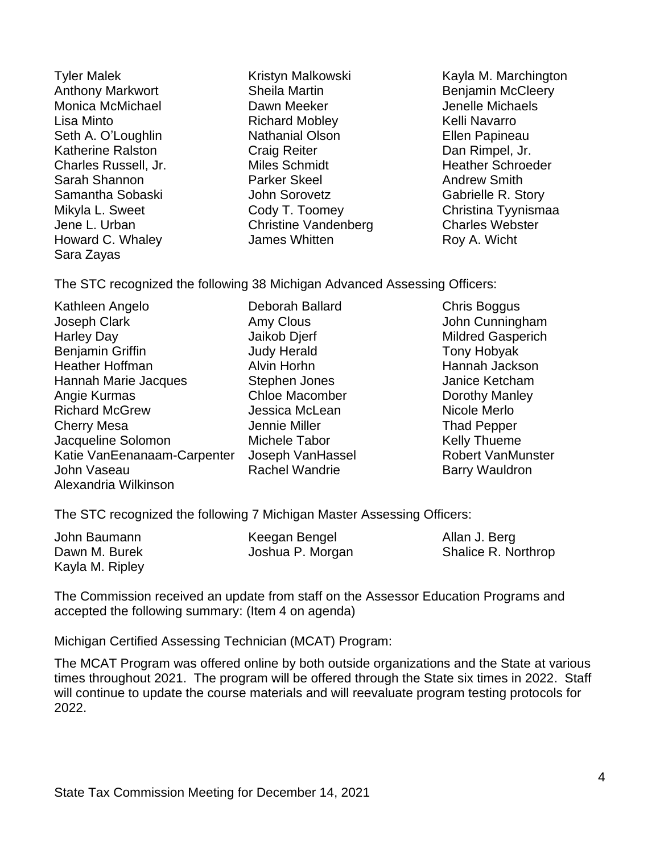Sara Zayas

Anthony Markwort **Sheila Martin** Benjamin McCleery Monica McMichael **Dawn Meeker** Denelle Michaels Lisa Minto **Richard Mobley Richard Mobley Richard Mobley Right** *Kelli Navarro* Seth A. O'Loughlin **Nathanial Olson Nathanial Olson** Ellen Papineau Katherine Ralston **Craig Reiter** Craig Reiter **Dan Rimpel, Jr.** Charles Russell, Jr. The Miles Schmidt Theather Schroeder Charles Russell, Jr. Sarah Shannon **Parker Skeel** Andrew Smith Samantha Sobaski Samantha Sobaski John Sorovetz Gabrielle R. Story Jene L. Urban Christine Vandenberg Charles Webster Howard C. Whaley **James Whitten** Roy A. Wicht

Tyler Malek Kristyn Malkowski Kayla M. Marchington Mikyla L. Sweet Cody T. Toomey Christina Tyynismaa

The STC recognized the following 38 Michigan Advanced Assessing Officers:

Kathleen Angelo **Deborah Ballard** Chris Boggus Joseph Clark **Amy Clous** Amy Clous John Cunningham Harley Day **Millary Communist Communist Communist Communist Communist Communist Communist Communist Communist Communist Communist Communist Communist Communist Communist Communist Communist Communist Communist Communist Co** Benjamin Griffin **Internal Accord Judy Herald** Tony Hobyak Heather Hoffman Alvin Horhn Hannah Jackson Hannah Marie Jacques Stephen Jones Janice Ketcham Angie Kurmas **Chloe Macomber** Dorothy Manley Richard McGrew **Carlo Contract Contract Access** Jessica McLean **Nicole Merlo** Cherry Mesa That That Pepper Jennie Miller That Pepper Jacqueline Solomon Michele Tabor Michele Tabor Kelly Thueme Katie VanEenanaam-Carpenter Joseph VanHassel Robert VanMunster John Vaseau **Rachel Wandrie** Barry Wauldron Alexandria Wilkinson

The STC recognized the following 7 Michigan Master Assessing Officers:

| John Baumann    | Keegan Bengel    | Allan J. Berg       |
|-----------------|------------------|---------------------|
| Dawn M. Burek   | Joshua P. Morgan | Shalice R. Northrop |
| Kayla M. Ripley |                  |                     |

The Commission received an update from staff on the Assessor Education Programs and accepted the following summary: (Item 4 on agenda)

Michigan Certified Assessing Technician (MCAT) Program:

The MCAT Program was offered online by both outside organizations and the State at various times throughout 2021. The program will be offered through the State six times in 2022. Staff will continue to update the course materials and will reevaluate program testing protocols for 2022.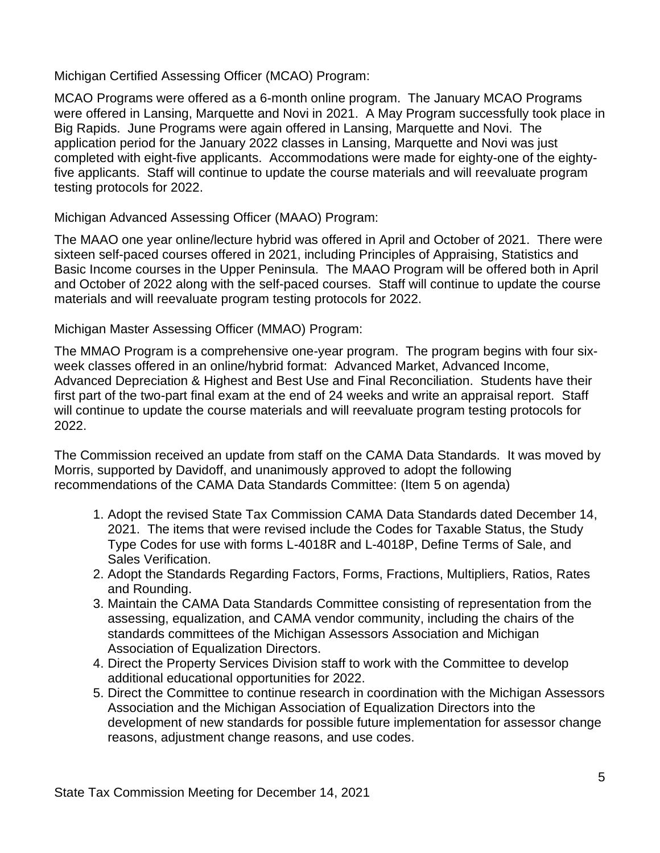Michigan Certified Assessing Officer (MCAO) Program:

MCAO Programs were offered as a 6-month online program. The January MCAO Programs were offered in Lansing, Marquette and Novi in 2021. A May Program successfully took place in Big Rapids. June Programs were again offered in Lansing, Marquette and Novi. The application period for the January 2022 classes in Lansing, Marquette and Novi was just completed with eight-five applicants. Accommodations were made for eighty-one of the eightyfive applicants. Staff will continue to update the course materials and will reevaluate program testing protocols for 2022.

Michigan Advanced Assessing Officer (MAAO) Program:

The MAAO one year online/lecture hybrid was offered in April and October of 2021. There were sixteen self-paced courses offered in 2021, including Principles of Appraising, Statistics and Basic Income courses in the Upper Peninsula. The MAAO Program will be offered both in April and October of 2022 along with the self-paced courses. Staff will continue to update the course materials and will reevaluate program testing protocols for 2022.

Michigan Master Assessing Officer (MMAO) Program:

The MMAO Program is a comprehensive one-year program. The program begins with four sixweek classes offered in an online/hybrid format: Advanced Market, Advanced Income, Advanced Depreciation & Highest and Best Use and Final Reconciliation. Students have their first part of the two-part final exam at the end of 24 weeks and write an appraisal report. Staff will continue to update the course materials and will reevaluate program testing protocols for 2022.

The Commission received an update from staff on the CAMA Data Standards. It was moved by Morris, supported by Davidoff, and unanimously approved to adopt the following recommendations of the CAMA Data Standards Committee: (Item 5 on agenda)

- 1. Adopt the revised State Tax Commission CAMA Data Standards dated December 14, 2021. The items that were revised include the Codes for Taxable Status, the Study Type Codes for use with forms L-4018R and L-4018P, Define Terms of Sale, and Sales Verification.
- 2. Adopt the Standards Regarding Factors, Forms, Fractions, Multipliers, Ratios, Rates and Rounding.
- 3. Maintain the CAMA Data Standards Committee consisting of representation from the assessing, equalization, and CAMA vendor community, including the chairs of the standards committees of the Michigan Assessors Association and Michigan Association of Equalization Directors.
- 4. Direct the Property Services Division staff to work with the Committee to develop additional educational opportunities for 2022.
- 5. Direct the Committee to continue research in coordination with the Michigan Assessors Association and the Michigan Association of Equalization Directors into the development of new standards for possible future implementation for assessor change reasons, adjustment change reasons, and use codes.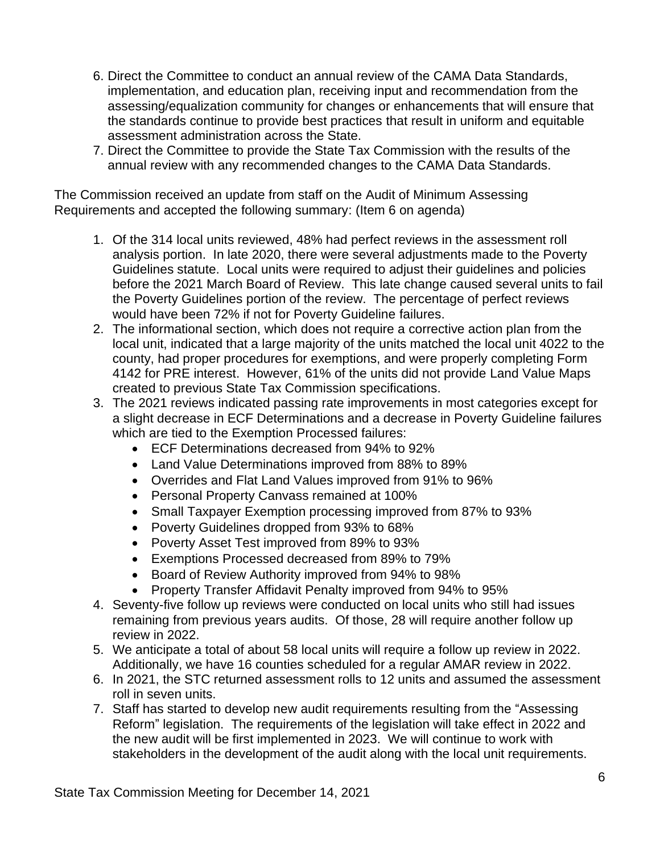- 6. Direct the Committee to conduct an annual review of the CAMA Data Standards, implementation, and education plan, receiving input and recommendation from the assessing/equalization community for changes or enhancements that will ensure that the standards continue to provide best practices that result in uniform and equitable assessment administration across the State.
- 7. Direct the Committee to provide the State Tax Commission with the results of the annual review with any recommended changes to the CAMA Data Standards.

The Commission received an update from staff on the Audit of Minimum Assessing Requirements and accepted the following summary: (Item 6 on agenda)

- 1. Of the 314 local units reviewed, 48% had perfect reviews in the assessment roll analysis portion. In late 2020, there were several adjustments made to the Poverty Guidelines statute. Local units were required to adjust their guidelines and policies before the 2021 March Board of Review. This late change caused several units to fail the Poverty Guidelines portion of the review. The percentage of perfect reviews would have been 72% if not for Poverty Guideline failures.
- 2. The informational section, which does not require a corrective action plan from the local unit, indicated that a large majority of the units matched the local unit 4022 to the county, had proper procedures for exemptions, and were properly completing Form 4142 for PRE interest. However, 61% of the units did not provide Land Value Maps created to previous State Tax Commission specifications.
- 3. The 2021 reviews indicated passing rate improvements in most categories except for a slight decrease in ECF Determinations and a decrease in Poverty Guideline failures which are tied to the Exemption Processed failures:
	- ECF Determinations decreased from 94% to 92%
	- Land Value Determinations improved from 88% to 89%
	- Overrides and Flat Land Values improved from 91% to 96%
	- Personal Property Canvass remained at 100%
	- Small Taxpayer Exemption processing improved from 87% to 93%
	- Poverty Guidelines dropped from 93% to 68%
	- Poverty Asset Test improved from 89% to 93%
	- Exemptions Processed decreased from 89% to 79%
	- Board of Review Authority improved from 94% to 98%
	- Property Transfer Affidavit Penalty improved from 94% to 95%
- 4. Seventy-five follow up reviews were conducted on local units who still had issues remaining from previous years audits. Of those, 28 will require another follow up review in 2022.
- 5. We anticipate a total of about 58 local units will require a follow up review in 2022. Additionally, we have 16 counties scheduled for a regular AMAR review in 2022.
- 6. In 2021, the STC returned assessment rolls to 12 units and assumed the assessment roll in seven units.
- 7. Staff has started to develop new audit requirements resulting from the "Assessing Reform" legislation. The requirements of the legislation will take effect in 2022 and the new audit will be first implemented in 2023. We will continue to work with stakeholders in the development of the audit along with the local unit requirements.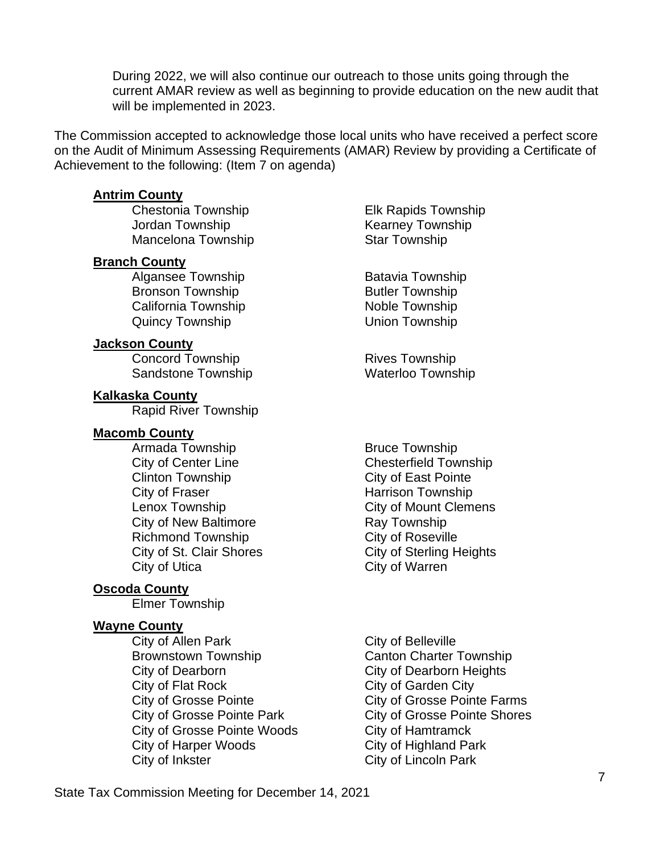During 2022, we will also continue our outreach to those units going through the current AMAR review as well as beginning to provide education on the new audit that will be implemented in 2023.

The Commission accepted to acknowledge those local units who have received a perfect score on the Audit of Minimum Assessing Requirements (AMAR) Review by providing a Certificate of Achievement to the following: (Item 7 on agenda)

## **Antrim County**

Jordan Township **Kearney Township** Mancelona Township Star Township

## **Branch County**

Algansee Township Batavia Township Bronson Township **Butler Township** California Township Noble Township Quincy Township Contract Communist Union Township

## **Jackson County**

Concord Township **Rives Township** Sandstone Township Waterloo Township

## **Kalkaska County**

Rapid River Township

## **Macomb County**

Armada Township Bruce Township City of Center Line Chesterfield Township Clinton Township City of East Pointe City of Fraser **Harrison Township** City of New Baltimore **Ray Township** Richmond Township City of Roseville City of Utica City of Warren

# **Oscoda County**

Elmer Township

## **Wayne County**

City of Allen Park City of Belleville Brownstown Township Canton Charter Township City of Dearborn City of Dearborn Heights City of Flat Rock City of Garden City City of Grosse Pointe City of Grosse Pointe Farms City of Grosse Pointe Woods City of Hamtramck City of Harper Woods City of Highland Park City of Inkster City of Lincoln Park

Chestonia Township Elk Rapids Township

Lenox Township City of Mount Clemens City of St. Clair Shores City of Sterling Heights

City of Grosse Pointe Park City of Grosse Pointe Shores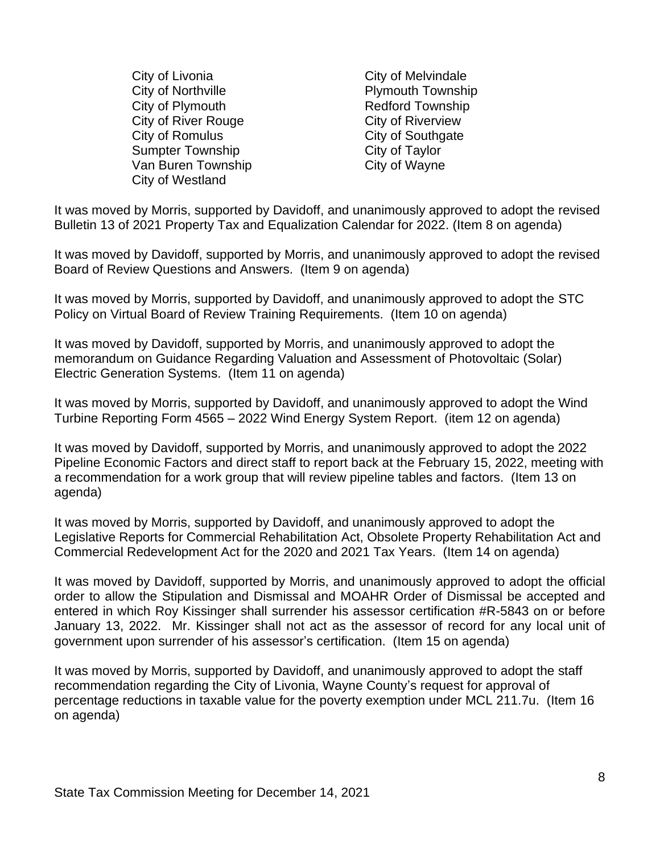City of Livonia City of Melvindale City of Northville **Plymouth Township** City of Plymouth **Redford Township** City of River Rouge City of Riverview City of Romulus City of Southgate Sumpter Township City of Taylor Van Buren Township City of Wayne City of Westland

It was moved by Morris, supported by Davidoff, and unanimously approved to adopt the revised Bulletin 13 of 2021 Property Tax and Equalization Calendar for 2022. (Item 8 on agenda)

It was moved by Davidoff, supported by Morris, and unanimously approved to adopt the revised Board of Review Questions and Answers. (Item 9 on agenda)

It was moved by Morris, supported by Davidoff, and unanimously approved to adopt the STC Policy on Virtual Board of Review Training Requirements. (Item 10 on agenda)

It was moved by Davidoff, supported by Morris, and unanimously approved to adopt the memorandum on Guidance Regarding Valuation and Assessment of Photovoltaic (Solar) Electric Generation Systems. (Item 11 on agenda)

It was moved by Morris, supported by Davidoff, and unanimously approved to adopt the Wind Turbine Reporting Form 4565 – 2022 Wind Energy System Report. (item 12 on agenda)

It was moved by Davidoff, supported by Morris, and unanimously approved to adopt the 2022 Pipeline Economic Factors and direct staff to report back at the February 15, 2022, meeting with a recommendation for a work group that will review pipeline tables and factors. (Item 13 on agenda)

It was moved by Morris, supported by Davidoff, and unanimously approved to adopt the Legislative Reports for Commercial Rehabilitation Act, Obsolete Property Rehabilitation Act and Commercial Redevelopment Act for the 2020 and 2021 Tax Years. (Item 14 on agenda)

It was moved by Davidoff, supported by Morris, and unanimously approved to adopt the official order to allow the Stipulation and Dismissal and MOAHR Order of Dismissal be accepted and entered in which Roy Kissinger shall surrender his assessor certification #R-5843 on or before January 13, 2022. Mr. Kissinger shall not act as the assessor of record for any local unit of government upon surrender of his assessor's certification. (Item 15 on agenda)

It was moved by Morris, supported by Davidoff, and unanimously approved to adopt the staff recommendation regarding the City of Livonia, Wayne County's request for approval of percentage reductions in taxable value for the poverty exemption under MCL 211.7u. (Item 16 on agenda)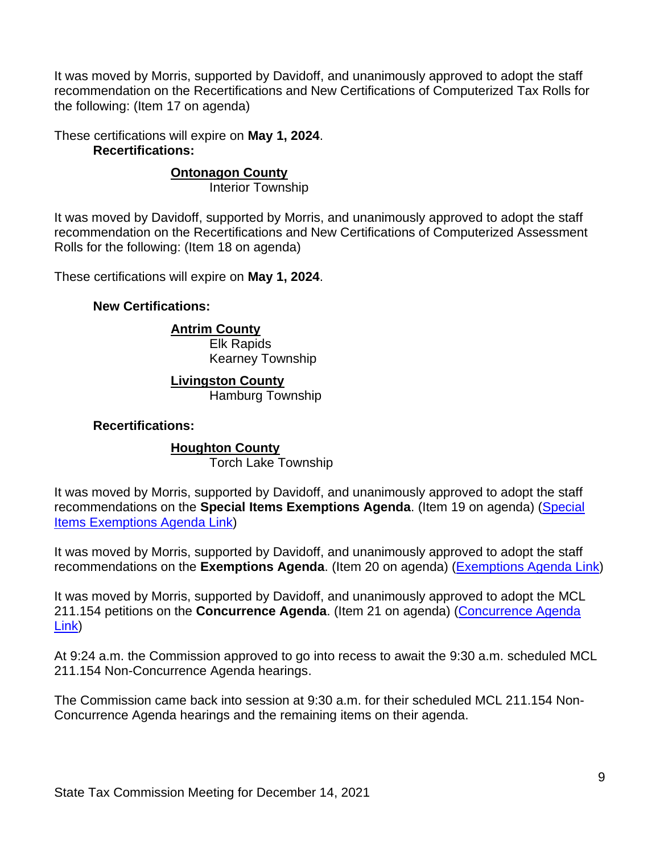It was moved by Morris, supported by Davidoff, and unanimously approved to adopt the staff recommendation on the Recertifications and New Certifications of Computerized Tax Rolls for the following: (Item 17 on agenda)

These certifications will expire on **May 1, 2024**. **Recertifications:**

# **Ontonagon County**

Interior Township

It was moved by Davidoff, supported by Morris, and unanimously approved to adopt the staff recommendation on the Recertifications and New Certifications of Computerized Assessment Rolls for the following: (Item 18 on agenda)

These certifications will expire on **May 1, 2024**.

### **New Certifications:**

## **Antrim County**

Elk Rapids Kearney Township

# **Livingston County**

Hamburg Township

### **Recertifications:**

## **Houghton County**

Torch Lake Township

It was moved by Morris, supported by Davidoff, and unanimously approved to adopt the staff recommendations on the **Special Items Exemptions Agenda**. (Item 19 on agenda) [\(Special](https://www.michigan.gov/documents/treasury/19_Exemptions_Special_Items_Agenda_742976_7.pdf)  [Items Exemptions Agenda Link\)](https://www.michigan.gov/documents/treasury/19_Exemptions_Special_Items_Agenda_742976_7.pdf)

It was moved by Morris, supported by Davidoff, and unanimously approved to adopt the staff recommendations on the **Exemptions Agenda**. (Item 20 on agenda) [\(Exemptions Agenda Link\)](https://www.michigan.gov/documents/treasury/20_Exemptions_Agenda_742977_7.pdf)

It was moved by Morris, supported by Davidoff, and unanimously approved to adopt the MCL 211.154 petitions on the **Concurrence Agenda**. (Item 21 on agenda) [\(Concurrence](https://www.michigan.gov/documents/treasury/21_Concurrence_Agenda_742978_7.pdf) Agenda [Link\)](https://www.michigan.gov/documents/treasury/21_Concurrence_Agenda_742978_7.pdf)

At 9:24 a.m. the Commission approved to go into recess to await the 9:30 a.m. scheduled MCL 211.154 Non-Concurrence Agenda hearings.

The Commission came back into session at 9:30 a.m. for their scheduled MCL 211.154 Non-Concurrence Agenda hearings and the remaining items on their agenda.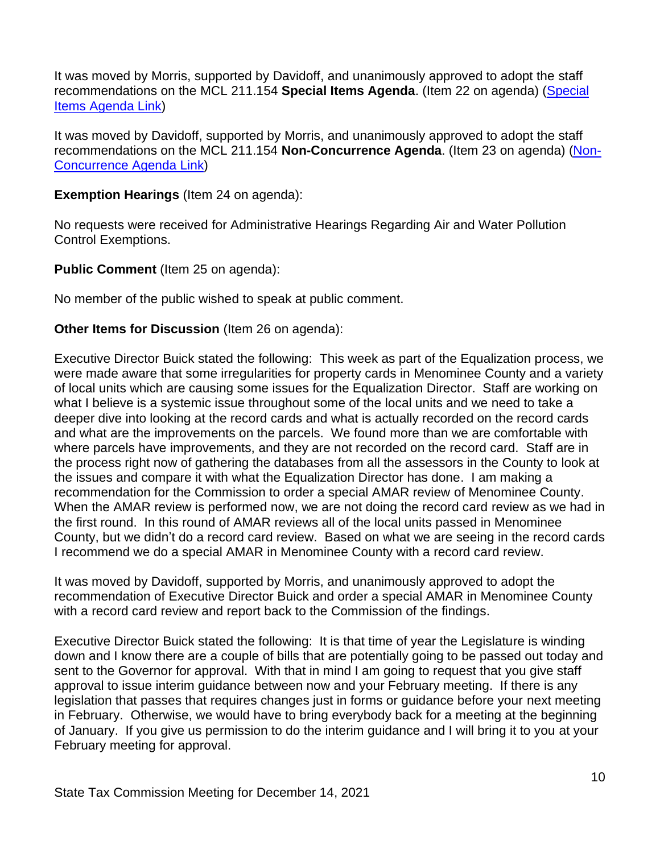It was moved by Morris, supported by Davidoff, and unanimously approved to adopt the staff recommendations on the MCL 211.154 **Special Items Agenda**. (Item 22 on agenda) [\(Special](https://www.michigan.gov/documents/treasury/22_154_Special_Items_Agenda_742979_7.pdf)  [Items Agenda Link\)](https://www.michigan.gov/documents/treasury/22_154_Special_Items_Agenda_742979_7.pdf)

It was moved by Davidoff, supported by Morris, and unanimously approved to adopt the staff recommendations on the MCL 211.154 **Non-Concurrence Agenda**. (Item 23 on agenda) [\(Non-](https://www.michigan.gov/documents/treasury/23_NonConcurrence_Agenda_742980_7.pdf)[Concurrence Agenda Link\)](https://www.michigan.gov/documents/treasury/23_NonConcurrence_Agenda_742980_7.pdf)

**Exemption Hearings** (Item 24 on agenda):

No requests were received for Administrative Hearings Regarding Air and Water Pollution Control Exemptions.

**Public Comment** (Item 25 on agenda):

No member of the public wished to speak at public comment.

# **Other Items for Discussion** (Item 26 on agenda):

Executive Director Buick stated the following: This week as part of the Equalization process, we were made aware that some irregularities for property cards in Menominee County and a variety of local units which are causing some issues for the Equalization Director. Staff are working on what I believe is a systemic issue throughout some of the local units and we need to take a deeper dive into looking at the record cards and what is actually recorded on the record cards and what are the improvements on the parcels. We found more than we are comfortable with where parcels have improvements, and they are not recorded on the record card. Staff are in the process right now of gathering the databases from all the assessors in the County to look at the issues and compare it with what the Equalization Director has done. I am making a recommendation for the Commission to order a special AMAR review of Menominee County. When the AMAR review is performed now, we are not doing the record card review as we had in the first round. In this round of AMAR reviews all of the local units passed in Menominee County, but we didn't do a record card review. Based on what we are seeing in the record cards I recommend we do a special AMAR in Menominee County with a record card review.

It was moved by Davidoff, supported by Morris, and unanimously approved to adopt the recommendation of Executive Director Buick and order a special AMAR in Menominee County with a record card review and report back to the Commission of the findings.

Executive Director Buick stated the following: It is that time of year the Legislature is winding down and I know there are a couple of bills that are potentially going to be passed out today and sent to the Governor for approval. With that in mind I am going to request that you give staff approval to issue interim guidance between now and your February meeting. If there is any legislation that passes that requires changes just in forms or guidance before your next meeting in February. Otherwise, we would have to bring everybody back for a meeting at the beginning of January. If you give us permission to do the interim guidance and I will bring it to you at your February meeting for approval.